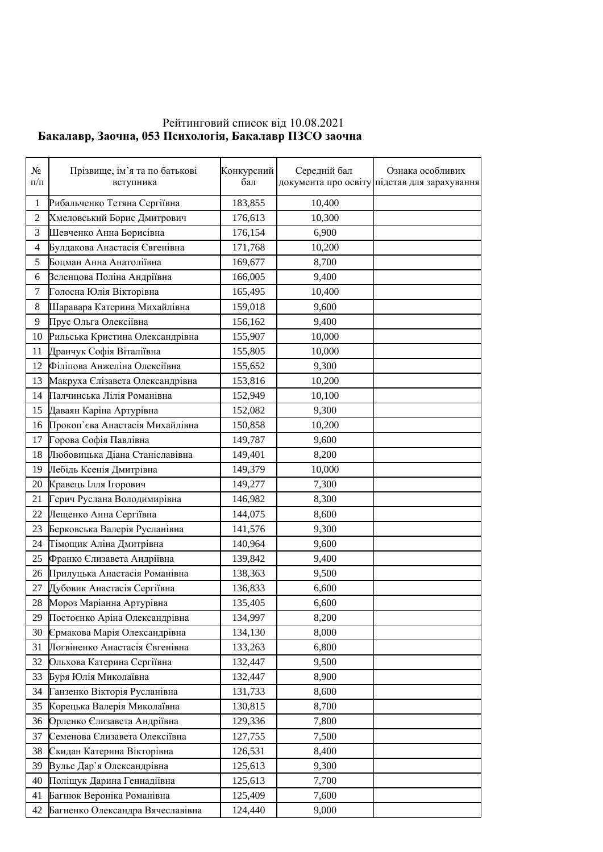## Рейтинговий список від 10.08.2021  **Ȼɚɤɚɥɚɜɪ, Ɂɚɨɱɧɚ, ɉɫɢɯɨɥɨɝɿɹ, ȻɚɤɚɥɚɜɪɉɁɋɈɡɚɨɱɧɚ**

| $N_{2}$<br>$\Pi/\Pi$     | Прізвище, ім'я та по батькові<br>вступника | Конкурсний<br>бал | Середній бал | Ознака особливих<br>документа про освіту підстав для зарахування |
|--------------------------|--------------------------------------------|-------------------|--------------|------------------------------------------------------------------|
| $\mathbf{1}$             | Рибальченко Тетяна Сергіївна               | 183,855           | 10,400       |                                                                  |
| $\overline{c}$           | Хмеловський Борис Дмитрович                | 176,613           | 10,300       |                                                                  |
| 3                        | Шевченко Анна Борисівна                    | 176,154           | 6,900        |                                                                  |
| $\overline{\mathcal{A}}$ | Булдакова Анастасія Євгенівна              | 171,768           | 10,200       |                                                                  |
| 5                        | Боцман Анна Анатоліївна                    | 169,677           | 8,700        |                                                                  |
| 6                        | Зеленцова Поліна Андріївна                 | 166,005           | 9,400        |                                                                  |
| $\boldsymbol{7}$         | Голосна Юлія Вікторівна                    | 165,495           | 10,400       |                                                                  |
| $\,8\,$                  | Шаравара Катерина Михайлівна               | 159,018           | 9,600        |                                                                  |
| 9                        | Прус Ольга Олексіївна                      | 156,162           | 9,400        |                                                                  |
| 10                       | Рильська Кристина Олександрівна            | 155,907           | 10,000       |                                                                  |
| 11                       | Дранчук Софія Віталіївна                   | 155,805           | 10,000       |                                                                  |
| 12                       | Філіпова Анжеліна Олексіївна               | 155,652           | 9,300        |                                                                  |
| 13                       | Макруха Єлізавета Олександрівна            | 153,816           | 10,200       |                                                                  |
| 14                       | Палчинська Лілія Романівна                 | 152,949           | 10,100       |                                                                  |
| 15                       | Даваян Каріна Артурівна                    | 152,082           | 9,300        |                                                                  |
| 16                       | Прокоп`єва Анастасія Михайлівна            | 150,858           | 10,200       |                                                                  |
| 17                       | Горова Софія Павлівна                      | 149,787           | 9,600        |                                                                  |
| 18                       | Любовицька Діана Станіславівна             | 149,401           | 8,200        |                                                                  |
| 19                       | Лебідь Ксенія Дмитрівна                    | 149,379           | 10,000       |                                                                  |
| 20                       | Кравець Ілля Ігорович                      | 149,277           | 7,300        |                                                                  |
| 21                       | Герич Руслана Володимирівна                | 146,982           | 8,300        |                                                                  |
| 22                       | Лещенко Анна Сергіївна                     | 144,075           | 8,600        |                                                                  |
| 23                       | Берковська Валерія Русланівна              | 141,576           | 9,300        |                                                                  |
| 24                       | Тімощик Аліна Дмитрівна                    | 140,964           | 9,600        |                                                                  |
| 25                       | Франко Єлизавета Андріївна                 | 139,842           | 9,400        |                                                                  |
| 26                       | Прилуцька Анастасія Романівна              | 138,363           | 9,500        |                                                                  |
| 27                       | Дубовик Анастасія Сергіївна                | 136,833           | 6,600        |                                                                  |
| 28                       | Мороз Маріанна Артурівна                   | 135,405           | 6,600        |                                                                  |
| 29                       | Постоєнко Аріна Олександрівна              | 134,997           | 8,200        |                                                                  |
| 30                       | Єрмакова Марія Олександрівна               | 134,130           | 8,000        |                                                                  |
| 31                       | Логвіненко Анастасія Євгенівна             | 133,263           | 6,800        |                                                                  |
| 32                       | Ольхова Катерина Сергіївна                 | 132,447           | 9,500        |                                                                  |
| 33                       | Буря Юлія Миколаївна                       | 132,447           | 8,900        |                                                                  |
| 34                       | Ганзенко Вікторія Русланівна               | 131,733           | 8,600        |                                                                  |
| 35                       | Корецька Валерія Миколаївна                | 130,815           | 8,700        |                                                                  |
| 36                       | Орленко Єлизавета Андріївна                | 129,336           | 7,800        |                                                                  |
| 37                       | Семенова Єлизавета Олексіївна              | 127,755           | 7,500        |                                                                  |
| 38                       | Скидан Катерина Вікторівна                 | 126,531           | 8,400        |                                                                  |
| 39                       | Вульс Дар'я Олександрівна                  | 125,613           | 9,300        |                                                                  |
| 40                       | Поліщук Дарина Геннадіївна                 | 125,613           | 7,700        |                                                                  |
| 41                       | Багнюк Вероніка Романівна                  | 125,409           | 7,600        |                                                                  |
| 42                       | Багненко Олександра Вячеславівна           | 124,440           | 9,000        |                                                                  |